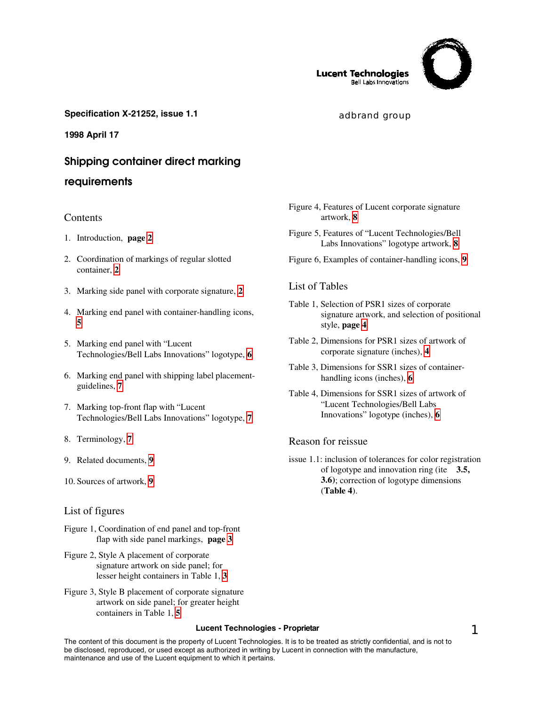

**Lucent Technologies Bell Labs Innovations** 

## **Specification X-21252, issue 1.1 and Specification X-21252, issue 1.1** adbrand group

**1998 April 17**

# **Shipping container direct marking**

## **requirements**

## **Contents**

- 1. Introduction, **page [2](#page-1-0)**
- 2. Coordination of markings of regular slotted container, **[2](#page-1-0)**
- 3. Marking side panel with corporate signature, **[2](#page-1-0)**
- 4. Marking end panel with container-handling icons, **[5](#page-4-0)**
- 5. Marking end panel with "Lucent Technologies/Bell Labs Innovations" logotype, **[6](#page-5-0)**
- 6. Marking end panel with shipping label placementguidelines, **[7](#page-6-0)**
- 7. Marking top-front flap with "Lucent Technologies/Bell Labs Innovations" logotype, **[7](#page-6-0)**
- 8. Terminology, **[7](#page-6-0)**
- 9. Related documents, **[9](#page-8-0)**
- 10. Sources of artwork, **[9](#page-8-0)**

## List of figures

- Figure 1, Coordination of end panel and top-front flap with side panel markings, **page [3](#page-2-0)**
- Figure 2, Style A placement of corporate signature artwork on side panel; for lesser height containers in Table 1, **[3](#page-2-0)**
- Figure 3, Style B placement of corporate signature artwork on side panel; for greater height containers in Table 1, **[5](#page-4-0)**

## Figure 4, Features of Lucent corporate signature artwork, **[8](#page-7-0)**

- Figure 5, Features of "Lucent Technologies/Bell Labs Innovations" logotype artwork, **[8](#page-7-0)**
- Figure 6, Examples of container-handling icons, **[9](#page-8-0)**

## List of Tables

- Table 1, Selection of PSR1 sizes of corporate signature artwork, and selection of positional style, **page [4](#page-3-0)**
- Table 2, Dimensions for PSR1 sizes of artwork of corporate signature (inches), **[4](#page-3-0)**
- Table 3, Dimensions for SSR1 sizes of containerhandling icons (inches), **[6](#page-5-0)**
- Table 4, Dimensions for SSR1 sizes of artwork of "Lucent Technologies/Bell Labs Innovations" logotype (inches), **[6](#page-5-0)**

## Reason for reissue

issue 1.1: inclusion of tolerances for color registration of logotype and innovation ring (ite **3.5, 3.6)**; correction of logotype dimensions (**Table 4**).

#### **Lucent Technologies - Proprietar 1 1 2008 1 2008 1 2008 1 2009 1 2009 1 2009 1 2009 1 2009 1 2009 1 2009 1 2009 1 2009 1 2009 1 2009 1 2009 1 2009 1 2009 1 2009 1 2009 1 2009 1 2009 1 2009 1 2009 1 2009 1 2009 1 2009 1 20**

The content of this document is the property of Lucent Technologies. It is to be treated as strictly confidential, and is not to be disclosed, reproduced, or used except as authorized in writing by Lucent in connection with the manufacture, maintenance and use of the Lucent equipment to which it pertains.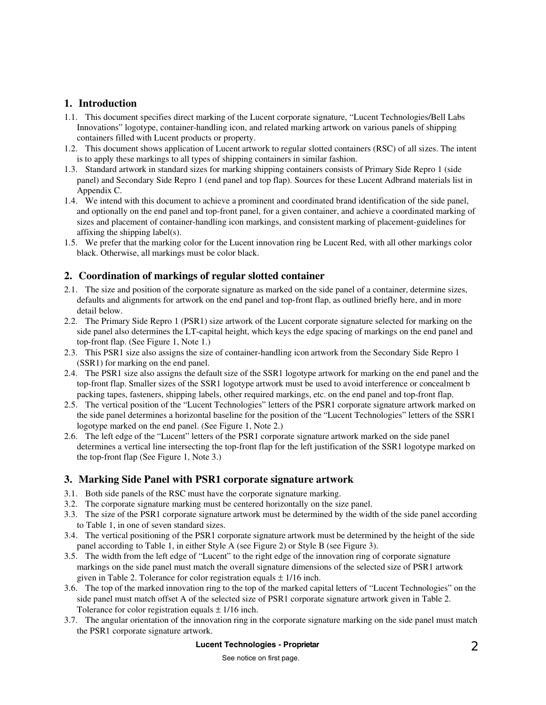# <span id="page-1-0"></span>**1. Introduction**

- 1.1. This document specifies direct marking of the Lucent corporate signature, "Lucent Technologies/Bell Labs Innovations" logotype, container-handling icon, and related marking artwork on various panels of shipping containers filled with Lucent products or property.
- 1.2. This document shows application of Lucent artwork to regular slotted containers (RSC) of all sizes. The intent is to apply these markings to all types of shipping containers in similar fashion.
- 1.3. Standard artwork in standard sizes for marking shipping containers consists of Primary Side Repro 1 (side panel) and Secondary Side Repro 1 (end panel and top flap). Sources for these Lucent Adbrand materials list in Appendix C.
- 1.4. We intend with this document to achieve a prominent and coordinated brand identification of the side panel, and optionally on the end panel and top-front panel, for a given container, and achieve a coordinated marking of sizes and placement of container-handling icon markings, and consistent marking of placement-guidelines for affixing the shipping label(s).
- 1.5. We prefer that the marking color for the Lucent innovation ring be Lucent Red, with all other markings color black. Otherwise, all markings must be color black.

## **2. Coordination of markings of regular slotted container**

- 2.1. The size and position of the corporate signature as marked on the side panel of a container, determine sizes, defaults and alignments for artwork on the end panel and top-front flap, as outlined briefly here, and in more detail below.
- 2.2. The Primary Side Repro 1 (PSR1) size artwork of the Lucent corporate signature selected for marking on the side panel also determines the LT-capital height, which keys the edge spacing of markings on the end panel and top-front flap. (See Figure 1, Note 1.)
- 2.3. This PSR1 size also assigns the size of container-handling icon artwork from the Secondary Side Repro 1 (SSR1) for marking on the end panel.
- 2.4. The PSR1 size also assigns the default size of the SSR1 logotype artwork for marking on the end panel and the top-front flap. Smaller sizes of the SSR1 logotype artwork must be used to avoid interference or concealment b packing tapes, fasteners, shipping labels, other required markings, etc. on the end panel and top-front flap.
- 2.5. The vertical position of the "Lucent Technologies" letters of the PSR1 corporate signature artwork marked on the side panel determines a horizontal baseline for the position of the "Lucent Technologies" letters of the SSR1 logotype marked on the end panel. (See Figure 1, Note 2.)
- 2.6. The left edge of the "Lucent" letters of the PSR1 corporate signature artwork marked on the side panel determines a vertical line intersecting the top-front flap for the left justification of the SSR1 logotype marked on the top-front flap (See Figure 1, Note 3.)

## **3. Marking Side Panel with PSR1 corporate signature artwork**

- 3.1. Both side panels of the RSC must have the corporate signature marking.
- 3.2. The corporate signature marking must be centered horizontally on the size panel.
- 3.3. The size of the PSR1 corporate signature artwork must be determined by the width of the side panel according to Table 1, in one of seven standard sizes.
- 3.4. The vertical positioning of the PSR1 corporate signature artwork must be determined by the height of the side panel according to Table 1, in either Style A (see Figure 2) or Style B (see Figure 3).
- 3.5. The width from the left edge of "Lucent" to the right edge of the innovation ring of corporate signature markings on the side panel must match the overall signature dimensions of the selected size of PSR1 artwork given in Table 2. Tolerance for color registration equals  $\pm$  1/16 inch.
- 3.6. The top of the marked innovation ring to the top of the marked capital letters of "Lucent Technologies" on the side panel must match offset A of the selected size of PSR1 corporate signature artwork given in Table 2. Tolerance for color registration equals  $\pm$  1/16 inch.
- 3.7. The angular orientation of the innovation ring in the corporate signature marking on the side panel must match the PSR1 corporate signature artwork.

# **Lucent Technologies - Proprietar** 2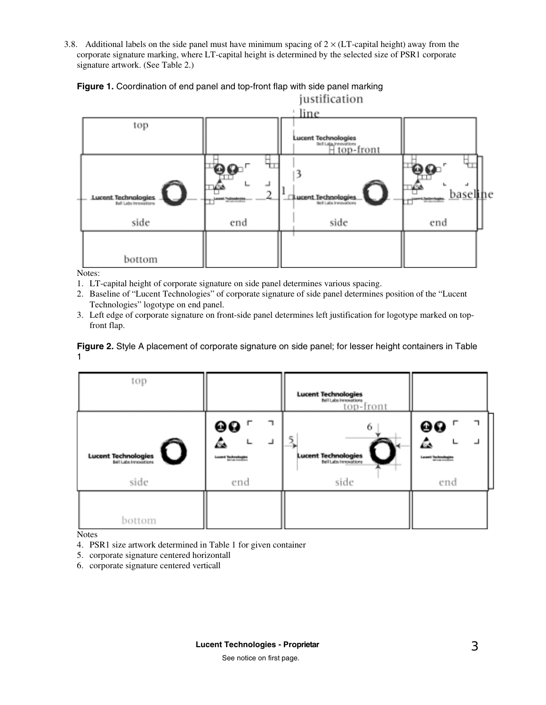<span id="page-2-0"></span>3.8. Additional labels on the side panel must have minimum spacing of  $2 \times (LT$ -capital height) away from the corporate signature marking, where LT-capital height is determined by the selected size of PSR1 corporate signature artwork. (See Table 2.)



# **Figure 1.** Coordination of end panel and top-front flap with side panel marking

Notes:

- 1. LT-capital height of corporate signature on side panel determines various spacing.
- 2. Baseline of "Lucent Technologies" of corporate signature of side panel determines position of the "Lucent Technologies" logotype on end panel.
- 3. Left edge of corporate signature on front-side panel determines left justification for logotype marked on topfront flap.

**Figure 2.** Style A placement of corporate signature on side panel; for lesser height containers in Table 1

| top                                                              |                                       | <b>Lucent Technologies</b><br>Bell Labs Innovations<br>top-front |                           |
|------------------------------------------------------------------|---------------------------------------|------------------------------------------------------------------|---------------------------|
| <b>Lucent Technologies</b><br><b>Italians invastions</b><br>side | @0<br>∆<br><b>Lucerd Technologies</b> | 6<br><b>Lucent Technologies</b><br>Bell Labs Immovations<br>side | 00<br>Lacent Technologies |
| bottom                                                           | end                                   |                                                                  | end                       |

Notes

- 4. PSR1 size artwork determined in Table 1 for given container
- 5. corporate signature centered horizontall
- 6. corporate signature centered verticall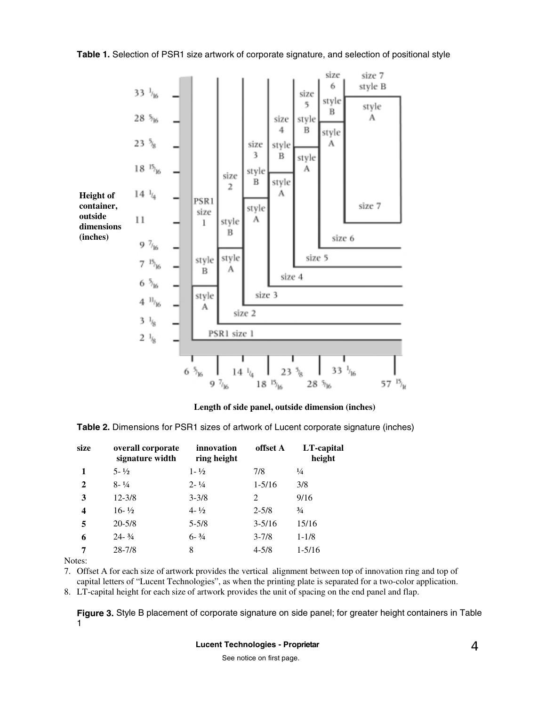**Table 1.** Selection of PSR1 size artwork of corporate signature, and selection of positional style

<span id="page-3-0"></span>

## **Length of side panel, outside dimension (inches)**

**Table 2.** Dimensions for PSR1 sizes of artwork of Lucent corporate signature (inches)

| size        | overall corporate<br>signature width | innovation<br>ring height | offset A   | LT-capital<br>height |
|-------------|--------------------------------------|---------------------------|------------|----------------------|
| 1           | $5 - \frac{1}{2}$                    | $1 - \frac{1}{2}$         | 7/8        | $\frac{1}{4}$        |
| $\mathbf 2$ | $8 - \frac{1}{4}$                    | $2 - \frac{1}{4}$         | $1 - 5/16$ | 3/8                  |
| 3           | $12 - 3/8$                           | $3 - 3/8$                 | 2          | 9/16                 |
| 4           | $16 - \frac{1}{2}$                   | $4 - \frac{1}{2}$         | $2 - 5/8$  | $\frac{3}{4}$        |
| 5           | $20 - 5/8$                           | $5 - 5/8$                 | $3 - 5/16$ | 15/16                |
| 6           | $24 - \frac{3}{4}$                   | $6 - \frac{3}{4}$         | $3 - 7/8$  | $1 - 1/8$            |
| 7           | $28 - 7/8$                           | 8                         | $4 - 5/8$  | $1 - 5/16$           |

Notes:

7. Offset A for each size of artwork provides the vertical alignment between top of innovation ring and top of capital letters of "Lucent Technologies", as when the printing plate is separated for a two-color application.

8. LT-capital height for each size of artwork provides the unit of spacing on the end panel and flap.

**Figure 3.** Style B placement of corporate signature on side panel; for greater height containers in Table 1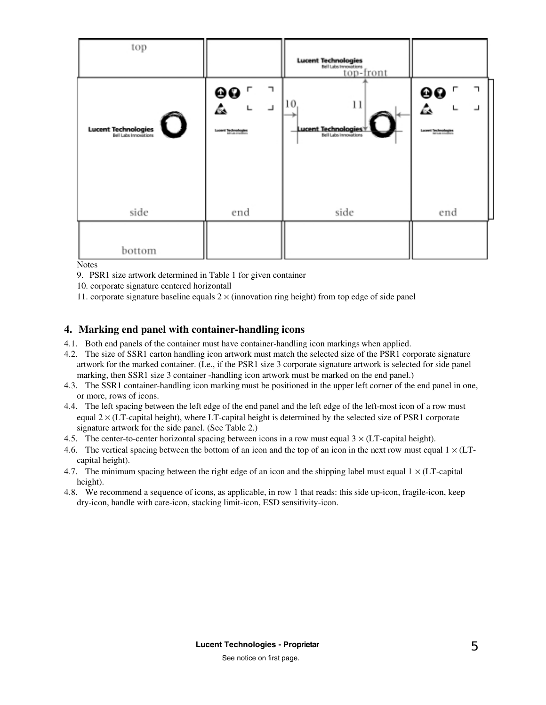<span id="page-4-0"></span>

| top                                                      |                                                            | <b>Lucent Technologies</b><br>Belluks Innovations<br>top-front |                                                |
|----------------------------------------------------------|------------------------------------------------------------|----------------------------------------------------------------|------------------------------------------------|
| <b>Lucent Technologies</b><br><b>Italians invocation</b> | $\mathbf{\mathcal{L}}$<br>00<br><b>Lucerd Technologies</b> | 10<br>11<br>Lucent Technologies*                               | E<br>$\mathsf{r}$<br>00<br>Lacent Technologies |
| side                                                     | end                                                        | side                                                           | end                                            |
| bottom                                                   |                                                            |                                                                |                                                |

**Notes** 

- 9. PSR1 size artwork determined in Table 1 for given container
- 10. corporate signature centered horizontall
- 11. corporate signature baseline equals  $2 \times ($ innovation ring height) from top edge of side panel

## **4. Marking end panel with container-handling icons**

- 4.1. Both end panels of the container must have container-handling icon markings when applied.
- 4.2. The size of SSR1 carton handling icon artwork must match the selected size of the PSR1 corporate signature artwork for the marked container. (I.e., if the PSR1 size 3 corporate signature artwork is selected for side panel marking, then SSR1 size 3 container -handling icon artwork must be marked on the end panel.)
- 4.3. The SSR1 container-handling icon marking must be positioned in the upper left corner of the end panel in one, or more, rows of icons.
- 4.4. The left spacing between the left edge of the end panel and the left edge of the left-most icon of a row must equal  $2 \times (LT$ -capital height), where LT-capital height is determined by the selected size of PSR1 corporate signature artwork for the side panel. (See Table 2.)
- 4.5. The center-to-center horizontal spacing between icons in a row must equal  $3 \times (LT$ -capital height).
- 4.6. The vertical spacing between the bottom of an icon and the top of an icon in the next row must equal  $1 \times (LT$ capital height).
- 4.7. The minimum spacing between the right edge of an icon and the shipping label must equal  $1 \times (LT$ -capital height).
- 4.8. We recommend a sequence of icons, as applicable, in row 1 that reads: this side up-icon, fragile-icon, keep dry-icon, handle with care-icon, stacking limit-icon, ESD sensitivity-icon.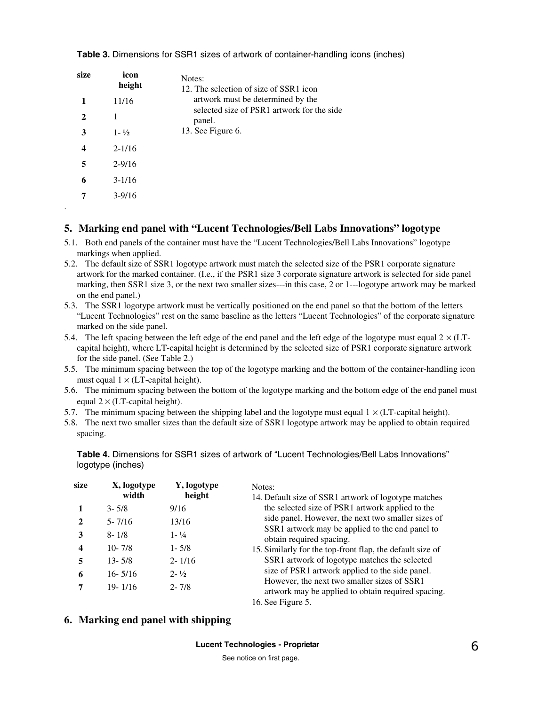| size | icon<br>height    | Notes:<br>12. The selection of size of SSR1 icon     |
|------|-------------------|------------------------------------------------------|
|      | 11/16             | artwork must be determined by the                    |
| 2    | 1                 | selected size of PSR1 artwork for the side<br>panel. |
| 3    | $1 - \frac{1}{2}$ | 13. See Figure 6.                                    |
|      | $2 - 1/16$        |                                                      |
| 5    | $2 - 9/16$        |                                                      |
| 6    | $3-1/16$          |                                                      |
|      | $3 - 9/16$        |                                                      |

.

<span id="page-5-0"></span>**Table 3.** Dimensions for SSR1 sizes of artwork of container-handling icons (inches)

## **5. Marking end panel with "Lucent Technologies/Bell Labs Innovations" logotype**

- 5.1. Both end panels of the container must have the "Lucent Technologies/Bell Labs Innovations" logotype markings when applied.
- 5.2. The default size of SSR1 logotype artwork must match the selected size of the PSR1 corporate signature artwork for the marked container. (I.e., if the PSR1 size 3 corporate signature artwork is selected for side panel marking, then SSR1 size 3, or the next two smaller sizes---in this case, 2 or 1---logotype artwork may be marked on the end panel.)
- 5.3. The SSR1 logotype artwork must be vertically positioned on the end panel so that the bottom of the letters "Lucent Technologies" rest on the same baseline as the letters "Lucent Technologies" of the corporate signature marked on the side panel.
- 5.4. The left spacing between the left edge of the end panel and the left edge of the logotype must equal  $2 \times (LT$ capital height), where LT-capital height is determined by the selected size of PSR1 corporate signature artwork for the side panel. (See Table 2.)
- 5.5. The minimum spacing between the top of the logotype marking and the bottom of the container-handling icon must equal  $1 \times (LT$ -capital height).
- 5.6. The minimum spacing between the bottom of the logotype marking and the bottom edge of the end panel must equal  $2 \times (LT$ -capital height).
- 5.7. The minimum spacing between the shipping label and the logotype must equal  $1 \times (LT$ -capital height).
- 5.8. The next two smaller sizes than the default size of SSR1 logotype artwork may be applied to obtain required spacing.

**Table 4.** Dimensions for SSR1 sizes of artwork of "Lucent Technologies/Bell Labs Innovations" logotype (inches)

| size | X, logotype<br>width | Y, logotype<br>height | Notes:<br>14. Default size of SSR1 artwork of logotype matches                                        |
|------|----------------------|-----------------------|-------------------------------------------------------------------------------------------------------|
|      | $3 - 5/8$            | 9/16                  | the selected size of PSR1 artwork applied to the                                                      |
|      | $5 - 7/16$           | 13/16                 | side panel. However, the next two smaller sizes of<br>SSR1 artwork may be applied to the end panel to |
| 3    | $8 - 1/8$            | $1 - \frac{1}{4}$     | obtain required spacing.                                                                              |
| 4    | $10 - 7/8$           | $1 - 5/8$             | 15. Similarly for the top-front flap, the default size of                                             |
| 5    | $13 - 5/8$           | $2 - 1/16$            | SSR1 artwork of logotype matches the selected                                                         |
| 6    | $16 - 5/16$          | $2 - \frac{1}{2}$     | size of PSR1 artwork applied to the side panel.                                                       |
| 7    | $19 - 1/16$          | $2 - 7/8$             | However, the next two smaller sizes of SSR1<br>artwork may be applied to obtain required spacing.     |
|      |                      |                       | 16. See Figure 5.                                                                                     |

# **6. Marking end panel with shipping**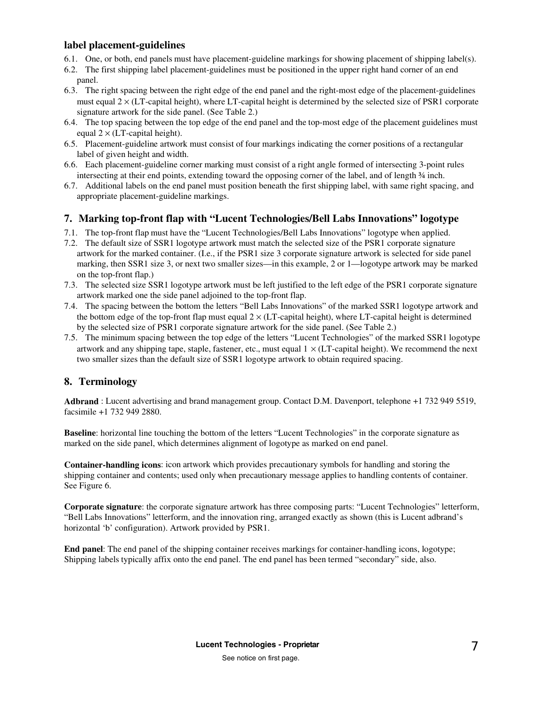## <span id="page-6-0"></span>**label placement-guidelines**

- 6.1. One, or both, end panels must have placement-guideline markings for showing placement of shipping label(s).
- 6.2. The first shipping label placement-guidelines must be positioned in the upper right hand corner of an end panel.
- 6.3. The right spacing between the right edge of the end panel and the right-most edge of the placement-guidelines must equal  $2 \times (LT$ -capital height), where LT-capital height is determined by the selected size of PSR1 corporate signature artwork for the side panel. (See Table 2.)
- 6.4. The top spacing between the top edge of the end panel and the top-most edge of the placement guidelines must equal  $2 \times (LT$ -capital height).
- 6.5. Placement-guideline artwork must consist of four markings indicating the corner positions of a rectangular label of given height and width.
- 6.6. Each placement-guideline corner marking must consist of a right angle formed of intersecting 3-point rules intersecting at their end points, extending toward the opposing corner of the label, and of length ¾ inch.
- 6.7. Additional labels on the end panel must position beneath the first shipping label, with same right spacing, and appropriate placement-guideline markings.

# **7. Marking top-front flap with "Lucent Technologies/Bell Labs Innovations" logotype**

- 7.1. The top-front flap must have the "Lucent Technologies/Bell Labs Innovations" logotype when applied.
- 7.2. The default size of SSR1 logotype artwork must match the selected size of the PSR1 corporate signature artwork for the marked container. (I.e., if the PSR1 size 3 corporate signature artwork is selected for side panel marking, then SSR1 size 3, or next two smaller sizes—in this example, 2 or 1—logotype artwork may be marked on the top-front flap.)
- 7.3. The selected size SSR1 logotype artwork must be left justified to the left edge of the PSR1 corporate signature artwork marked one the side panel adjoined to the top-front flap.
- 7.4. The spacing between the bottom the letters "Bell Labs Innovations" of the marked SSR1 logotype artwork and the bottom edge of the top-front flap must equal  $2 \times (LT$ -capital height), where LT-capital height is determined by the selected size of PSR1 corporate signature artwork for the side panel. (See Table 2.)
- 7.5. The minimum spacing between the top edge of the letters "Lucent Technologies" of the marked SSR1 logotype artwork and any shipping tape, staple, fastener, etc., must equal  $1 \times (LT$ -capital height). We recommend the next two smaller sizes than the default size of SSR1 logotype artwork to obtain required spacing.

# **8. Terminology**

**Adbrand** : Lucent advertising and brand management group. Contact D.M. Davenport, telephone +1 732 949 5519, facsimile +1 732 949 2880.

**Baseline**: horizontal line touching the bottom of the letters "Lucent Technologies" in the corporate signature as marked on the side panel, which determines alignment of logotype as marked on end panel.

**Container-handling icons**: icon artwork which provides precautionary symbols for handling and storing the shipping container and contents; used only when precautionary message applies to handling contents of container. See Figure 6.

**Corporate signature**: the corporate signature artwork has three composing parts: "Lucent Technologies" letterform, "Bell Labs Innovations" letterform, and the innovation ring, arranged exactly as shown (this is Lucent adbrand's horizontal 'b' configuration). Artwork provided by PSR1.

**End panel**: The end panel of the shipping container receives markings for container-handling icons, logotype; Shipping labels typically affix onto the end panel. The end panel has been termed "secondary" side, also.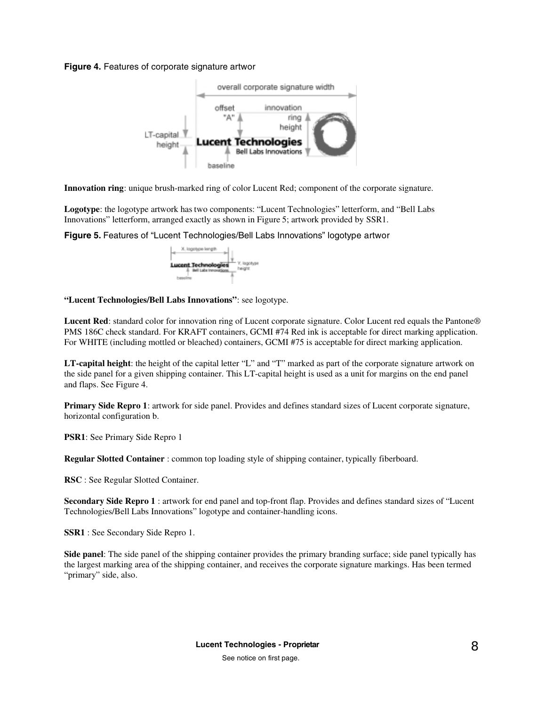#### <span id="page-7-0"></span>**Figure 4.** Features of corporate signature artwor



**Innovation ring**: unique brush-marked ring of color Lucent Red; component of the corporate signature.

**Logotype**: the logotype artwork has two components: "Lucent Technologies" letterform, and "Bell Labs Innovations" letterform, arranged exactly as shown in Figure 5; artwork provided by SSR1.

**Figure 5.** Features of "Lucent Technologies/Bell Labs Innovations" logotype artwor



**"Lucent Technologies/Bell Labs Innovations"**: see logotype.

**Lucent Red**: standard color for innovation ring of Lucent corporate signature. Color Lucent red equals the Pantone® PMS 186C check standard. For KRAFT containers, GCMI #74 Red ink is acceptable for direct marking application. For WHITE (including mottled or bleached) containers, GCMI #75 is acceptable for direct marking application.

**LT-capital height**: the height of the capital letter "L" and "T" marked as part of the corporate signature artwork on the side panel for a given shipping container. This LT-capital height is used as a unit for margins on the end panel and flaps. See Figure 4.

**Primary Side Repro 1**: artwork for side panel. Provides and defines standard sizes of Lucent corporate signature, horizontal configuration b.

**PSR1**: See Primary Side Repro 1

**Regular Slotted Container** : common top loading style of shipping container, typically fiberboard.

**RSC** : See Regular Slotted Container.

**Secondary Side Repro 1** : artwork for end panel and top-front flap. Provides and defines standard sizes of "Lucent Technologies/Bell Labs Innovations" logotype and container-handling icons.

**SSR1** : See Secondary Side Repro 1.

**Side panel**: The side panel of the shipping container provides the primary branding surface; side panel typically has the largest marking area of the shipping container, and receives the corporate signature markings. Has been termed "primary" side, also.